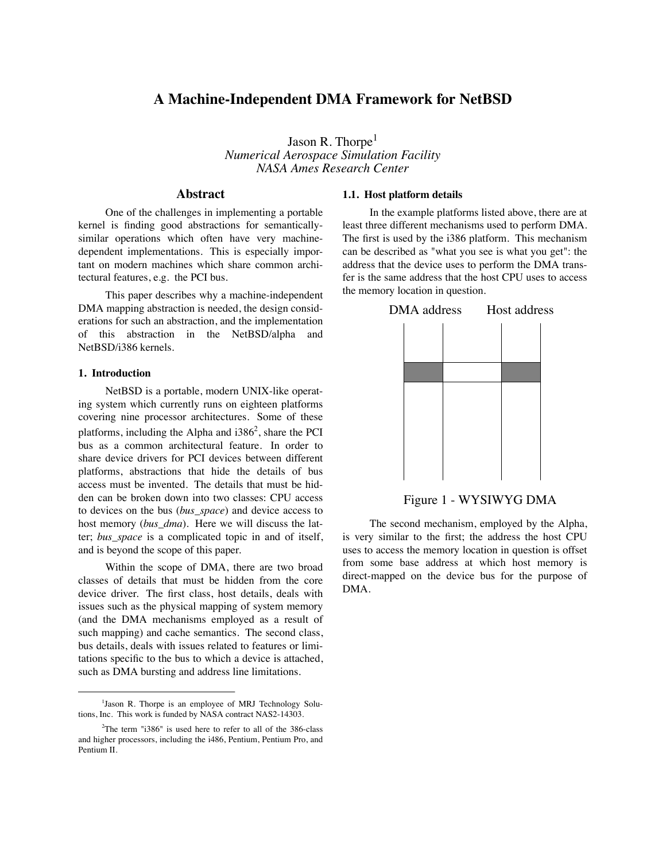# **A Machine-Independent DMA Framework for NetBSD**

Jason R. Thorpe<sup>1</sup> *Numerical Aerospace Simulation Facility NASA Ames Research Center*

# **Abstract**

One of the challenges in implementing a portable kernel is finding good abstractions for semanticallysimilar operations which often have very machinedependent implementations. This is especially important on modern machines which share common architectural features, e.g. the PCI bus.

This paper describes why a machine-independent DMA mapping abstraction is needed, the design considerations for such an abstraction, and the implementation of this abstraction in the NetBSD/alpha and NetBSD/i386 kernels.

## **1. Introduction**

NetBSD is a portable, modern UNIX-like operating system which currently runs on eighteen platforms covering nine processor architectures. Some of these platforms, including the Alpha and i386<sup>2</sup>, share the PCI bus as a common architectural feature. In order to share device drivers for PCI devices between different platforms, abstractions that hide the details of bus access must be invented. The details that must be hidden can be broken down into two classes: CPU access to devices on the bus (*bus\_space*) and device access to host memory (*bus\_dma*). Here we will discuss the latter; *bus\_space* is a complicated topic in and of itself, and is beyond the scope of this paper.

Within the scope of DMA, there are two broad classes of details that must be hidden from the core device driver. The first class, host details, deals with issues such as the physical mapping of system memory (and the DMA mechanisms employed as a result of such mapping) and cache semantics. The second class, bus details, deals with issues related to features or limitations specific to the bus to which a device is attached, such as DMA bursting and address line limitations.

#### **1.1. Host platform details**

In the example platforms listed above, there are at least three different mechanisms used to perform DMA. The first is used by the i386 platform. This mechanism can be described as "what you see is what you get": the address that the device uses to perform the DMA transfer is the same address that the host CPU uses to access the memory location in question.



Figure 1 - WYSIWYG DMA

The second mechanism, employed by the Alpha, is very similar to the first; the address the host CPU uses to access the memory location in question is offset from some base address at which host memory is direct-mapped on the device bus for the purpose of DMA.

<sup>&</sup>lt;sup>1</sup>Jason R. Thorpe is an employee of MRJ Technology Solutions, Inc. This work is funded by NASA contract NAS2-14303.

<sup>2</sup> The term "i386" is used here to refer to all of the 386-class and higher processors, including the i486, Pentium, Pentium Pro, and Pentium II.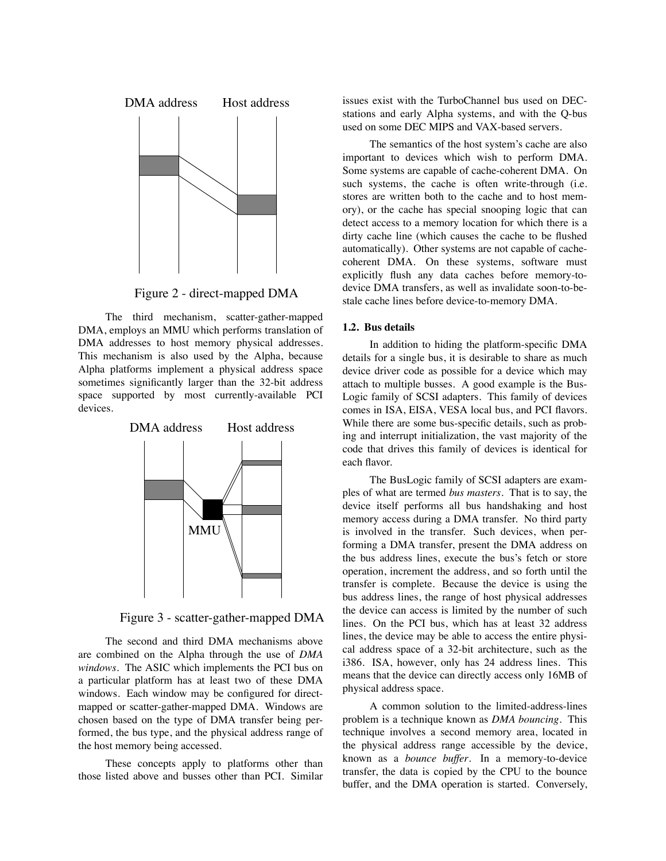

Figure 2 - direct-mapped DMA

The third mechanism, scatter-gather-mapped DMA, employs an MMU which performs translation of DMA addresses to host memory physical addresses. This mechanism is also used by the Alpha, because Alpha platforms implement a physical address space sometimes significantly larger than the 32-bit address space supported by most currently-available PCI devices.



Figure 3 - scatter-gather-mapped DMA

The second and third DMA mechanisms above are combined on the Alpha through the use of *DMA windows*. The ASIC which implements the PCI bus on a particular platform has at least two of these DMA windows. Each window may be configured for directmapped or scatter-gather-mapped DMA. Windows are chosen based on the type of DMA transfer being performed, the bus type, and the physical address range of the host memory being accessed.

These concepts apply to platforms other than those listed above and busses other than PCI. Similar issues exist with the TurboChannel bus used on DECstations and early Alpha systems, and with the Q-bus used on some DEC MIPS and VAX-based servers.

The semantics of the host system's cache are also important to devices which wish to perform DMA. Some systems are capable of cache-coherent DMA. On such systems, the cache is often write-through (i.e. stores are written both to the cache and to host memory), or the cache has special snooping logic that can detect access to a memory location for which there is a dirty cache line (which causes the cache to be flushed automatically). Other systems are not capable of cachecoherent DMA. On these systems, software must explicitly flush any data caches before memory-todevice DMA transfers, as well as invalidate soon-to-bestale cache lines before device-to-memory DMA.

### **1.2. Bus details**

In addition to hiding the platform-specific DMA details for a single bus, it is desirable to share as much device driver code as possible for a device which may attach to multiple busses. A good example is the Bus-Logic family of SCSI adapters. This family of devices comes in ISA, EISA, VESA local bus, and PCI flavors. While there are some bus-specific details, such as probing and interrupt initialization, the vast majority of the code that drives this family of devices is identical for each flavor.

The BusLogic family of SCSI adapters are examples of what are termed *bus masters*. That is to say, the device itself performs all bus handshaking and host memory access during a DMA transfer. No third party is involved in the transfer. Such devices, when performing a DMA transfer, present the DMA address on the bus address lines, execute the bus's fetch or store operation, increment the address, and so forth until the transfer is complete. Because the device is using the bus address lines, the range of host physical addresses the device can access is limited by the number of such lines. On the PCI bus, which has at least 32 address lines, the device may be able to access the entire physical address space of a 32-bit architecture, such as the i386. ISA, however, only has 24 address lines. This means that the device can directly access only 16MB of physical address space.

A common solution to the limited-address-lines problem is a technique known as *DMA bouncing*. This technique involves a second memory area, located in the physical address range accessible by the device, known as a *bounce buffer*. In a memory-to-device transfer, the data is copied by the CPU to the bounce buffer, and the DMA operation is started. Conversely,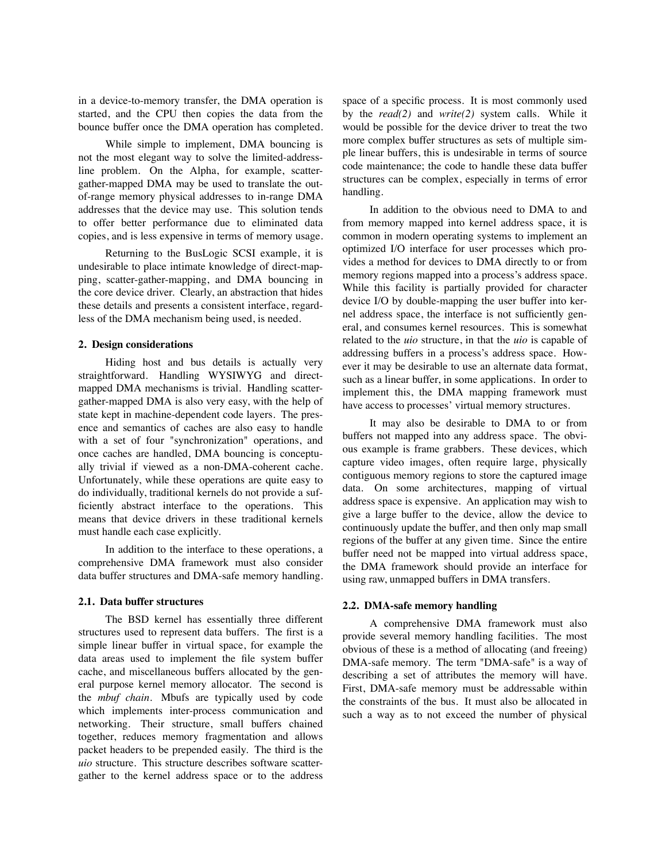in a device-to-memory transfer, the DMA operation is started, and the CPU then copies the data from the bounce buffer once the DMA operation has completed.

While simple to implement, DMA bouncing is not the most elegant way to solve the limited-addressline problem. On the Alpha, for example, scattergather-mapped DMA may be used to translate the outof-range memory physical addresses to in-range DMA addresses that the device may use. This solution tends to offer better performance due to eliminated data copies, and is less expensive in terms of memory usage.

Returning to the BusLogic SCSI example, it is undesirable to place intimate knowledge of direct-mapping, scatter-gather-mapping, and DMA bouncing in the core device driver. Clearly, an abstraction that hides these details and presents a consistent interface, regardless of the DMA mechanism being used, is needed.

## **2. Design considerations**

Hiding host and bus details is actually very straightforward. Handling WYSIWYG and directmapped DMA mechanisms is trivial. Handling scattergather-mapped DMA is also very easy, with the help of state kept in machine-dependent code layers. The presence and semantics of caches are also easy to handle with a set of four "synchronization" operations, and once caches are handled, DMA bouncing is conceptually trivial if viewed as a non-DMA-coherent cache. Unfortunately, while these operations are quite easy to do individually, traditional kernels do not provide a sufficiently abstract interface to the operations. This means that device drivers in these traditional kernels must handle each case explicitly.

In addition to the interface to these operations, a comprehensive DMA framework must also consider data buffer structures and DMA-safe memory handling.

## **2.1. Data buffer structures**

The BSD kernel has essentially three different structures used to represent data buffers. The first is a simple linear buffer in virtual space, for example the data areas used to implement the file system buffer cache, and miscellaneous buffers allocated by the general purpose kernel memory allocator. The second is the *mbuf chain*. Mbufs are typically used by code which implements inter-process communication and networking. Their structure, small buffers chained together, reduces memory fragmentation and allows packet headers to be prepended easily. The third is the *uio* structure. This structure describes software scattergather to the kernel address space or to the address space of a specific process. It is most commonly used by the *read(2)* and *write(2)* system calls. While it would be possible for the device driver to treat the two more complex buffer structures as sets of multiple simple linear buffers, this is undesirable in terms of source code maintenance; the code to handle these data buffer structures can be complex, especially in terms of error handling.

In addition to the obvious need to DMA to and from memory mapped into kernel address space, it is common in modern operating systems to implement an optimized I/O interface for user processes which provides a method for devices to DMA directly to or from memory regions mapped into a process's address space. While this facility is partially provided for character device I/O by double-mapping the user buffer into kernel address space, the interface is not sufficiently general, and consumes kernel resources. This is somewhat related to the *uio* structure, in that the *uio* is capable of addressing buffers in a process's address space. However it may be desirable to use an alternate data format, such as a linear buffer, in some applications. In order to implement this, the DMA mapping framework must have access to processes' virtual memory structures.

It may also be desirable to DMA to or from buffers not mapped into any address space. The obvious example is frame grabbers. These devices, which capture video images, often require large, physically contiguous memory regions to store the captured image data. On some architectures, mapping of virtual address space is expensive. An application may wish to give a large buffer to the device, allow the device to continuously update the buffer, and then only map small regions of the buffer at any given time. Since the entire buffer need not be mapped into virtual address space, the DMA framework should provide an interface for using raw, unmapped buffers in DMA transfers.

#### **2.2. DMA-safe memory handling**

A comprehensive DMA framework must also provide several memory handling facilities. The most obvious of these is a method of allocating (and freeing) DMA-safe memory. The term "DMA-safe" is a way of describing a set of attributes the memory will have. First, DMA-safe memory must be addressable within the constraints of the bus. It must also be allocated in such a way as to not exceed the number of physical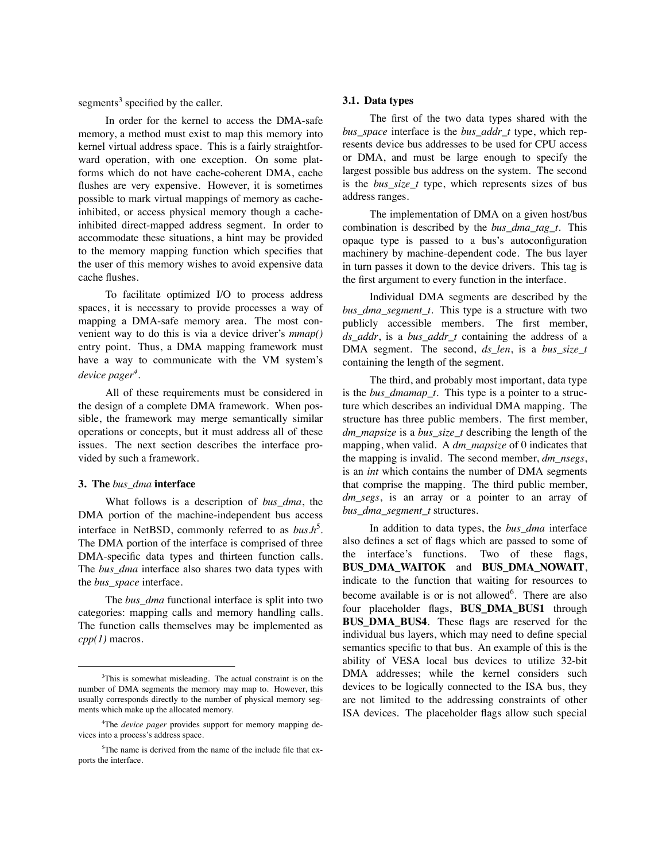segments $3$  specified by the caller.

In order for the kernel to access the DMA-safe memory, a method must exist to map this memory into kernel virtual address space. This is a fairly straightforward operation, with one exception. On some platforms which do not have cache-coherent DMA, cache flushes are very expensive. However, it is sometimes possible to mark virtual mappings of memory as cacheinhibited, or access physical memory though a cacheinhibited direct-mapped address segment. In order to accommodate these situations, a hint may be provided to the memory mapping function which specifies that the user of this memory wishes to avoid expensive data cache flushes.

To facilitate optimized I/O to process address spaces, it is necessary to provide processes a way of mapping a DMA-safe memory area. The most convenient way to do this is via a device driver's *mmap()* entry point. Thus, a DMA mapping framework must have a way to communicate with the VM system's *device pager4* .

All of these requirements must be considered in the design of a complete DMA framework. When possible, the framework may merge semantically similar operations or concepts, but it must address all of these issues. The next section describes the interface provided by such a framework.

#### **3. The** *bus\_dma* **interface**

What follows is a description of *bus\_dma*, the DMA portion of the machine-independent bus access interface in NetBSD, commonly referred to as *bus.h*<sup>5</sup>. The DMA portion of the interface is comprised of three DMA-specific data types and thirteen function calls. The *bus\_dma* interface also shares two data types with the *bus\_space* interface.

The *bus dma* functional interface is split into two categories: mapping calls and memory handling calls. The function calls themselves may be implemented as *cpp(1)* macros.

## **3.1. Data types**

The first of the two data types shared with the *bus\_space* interface is the *bus\_addr\_t* type, which represents device bus addresses to be used for CPU access or DMA, and must be large enough to specify the largest possible bus address on the system. The second is the *bus\_size\_t* type, which represents sizes of bus address ranges.

The implementation of DMA on a given host/bus combination is described by the *bus\_dma\_tag\_t*. This opaque type is passed to a bus's autoconfiguration machinery by machine-dependent code. The bus layer in turn passes it down to the device drivers. This tag is the first argument to every function in the interface.

Individual DMA segments are described by the *bus\_dma\_segment\_t*. This type is a structure with two publicly accessible members. The first member, *ds\_addr*, is a *bus\_addr\_t* containing the address of a DMA segment. The second, *ds\_len*, is a *bus\_size\_t* containing the length of the segment.

The third, and probably most important, data type is the *bus\_dmamap\_t*. This type is a pointer to a structure which describes an individual DMA mapping. The structure has three public members. The first member, *dm\_mapsize* is a *bus\_size\_t* describing the length of the mapping, when valid. A *dm\_mapsize* of 0 indicates that the mapping is invalid. The second member, *dm\_nsegs*, is an *int* which contains the number of DMA segments that comprise the mapping. The third public member, *dm\_segs*, is an array or a pointer to an array of *bus\_dma\_segment\_t* structures.

In addition to data types, the *bus\_dma* interface also defines a set of flags which are passed to some of the interface's functions. Two of these flags, **BUS\_DMA\_WAITOK** and **BUS\_DMA\_NOWAIT**, indicate to the function that waiting for resources to become available is or is not allowed<sup>6</sup>. There are also four placeholder flags, **BUS\_DMA\_BUS1** through **BUS\_DMA\_BUS4**. These flags are reserved for the individual bus layers, which may need to define special semantics specific to that bus. An example of this is the ability of VESA local bus devices to utilize 32-bit DMA addresses; while the kernel considers such devices to be logically connected to the ISA bus, they are not limited to the addressing constraints of other ISA devices. The placeholder flags allow such special

<sup>&</sup>lt;sup>3</sup>This is somewhat misleading. The actual constraint is on the number of DMA segments the memory may map to. However, this usually corresponds directly to the number of physical memory segments which make up the allocated memory.

<sup>4</sup> The *device pager* provides support for memory mapping devices into a process's address space.

<sup>5</sup> The name is derived from the name of the include file that exports the interface.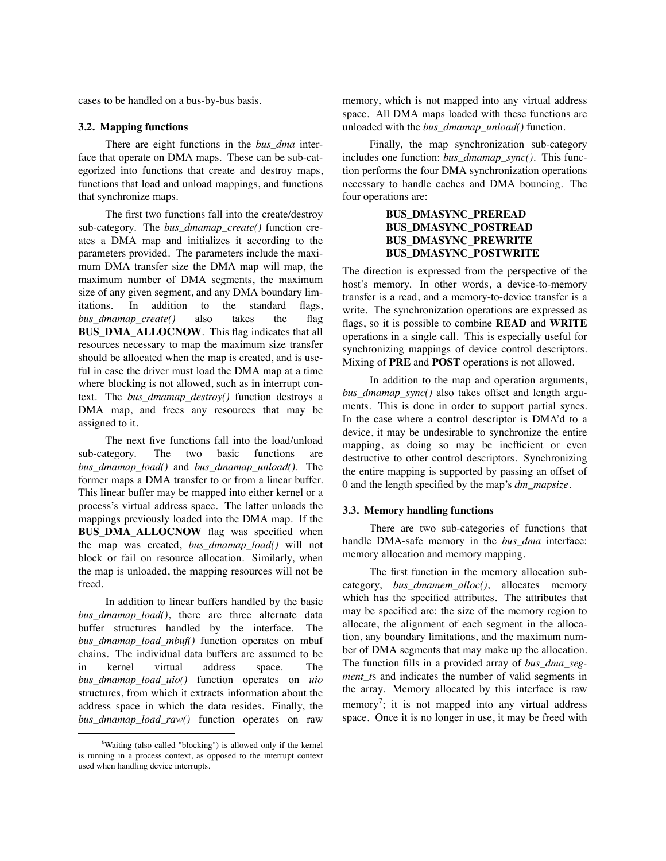cases to be handled on a bus-by-bus basis.

## **3.2. Mapping functions**

There are eight functions in the *bus\_dma* interface that operate on DMA maps. These can be sub-categorized into functions that create and destroy maps, functions that load and unload mappings, and functions that synchronize maps.

The first two functions fall into the create/destroy sub-category. The *bus\_dmamap\_create()* function creates a DMA map and initializes it according to the parameters provided. The parameters include the maximum DMA transfer size the DMA map will map, the maximum number of DMA segments, the maximum size of any given segment, and any DMA boundary limitations. In addition to the standard flags, *bus\_dmamap\_create()* also takes the flag **BUS DMA ALLOCNOW.** This flag indicates that all resources necessary to map the maximum size transfer should be allocated when the map is created, and is useful in case the driver must load the DMA map at a time where blocking is not allowed, such as in interrupt context. The *bus\_dmamap\_destroy()* function destroys a DMA map, and frees any resources that may be assigned to it.

The next five functions fall into the load/unload sub-category. The two basic functions are *bus\_dmamap\_load()* and *bus\_dmamap\_unload()*. The former maps a DMA transfer to or from a linear buffer. This linear buffer may be mapped into either kernel or a process's virtual address space. The latter unloads the mappings previously loaded into the DMA map. If the **BUS\_DMA\_ALLOCNOW** flag was specified when the map was created, *bus\_dmamap\_load()* will not block or fail on resource allocation. Similarly, when the map is unloaded, the mapping resources will not be freed.

In addition to linear buffers handled by the basic bus dmamap load(), there are three alternate data buffer structures handled by the interface. The *bus\_dmamap\_load\_mbuf()* function operates on mbuf chains. The individual data buffers are assumed to be in kernel virtual address space. The *bus\_dmamap\_load\_uio()* function operates on *uio* structures, from which it extracts information about the address space in which the data resides. Finally, the *bus\_dmamap\_load\_raw()* function operates on raw

memory, which is not mapped into any virtual address space. All DMA maps loaded with these functions are unloaded with the *bus\_dmamap\_unload()* function.

Finally, the map synchronization sub-category includes one function: *bus\_dmamap\_sync()*. This function performs the four DMA synchronization operations necessary to handle caches and DMA bouncing. The four operations are:

# **BUS\_DMASYNC\_PREREAD BUS\_DMASYNC\_POSTREAD BUS\_DMASYNC\_PREWRITE BUS\_DMASYNC\_POSTWRITE**

The direction is expressed from the perspective of the host's memory. In other words, a device-to-memory transfer is a read, and a memory-to-device transfer is a write. The synchronization operations are expressed as flags, so it is possible to combine **READ** and **WRITE** operations in a single call. This is especially useful for synchronizing mappings of device control descriptors. Mixing of **PRE** and **POST** operations is not allowed.

In addition to the map and operation arguments, *bus dmamap sync()* also takes offset and length arguments. This is done in order to support partial syncs. In the case where a control descriptor is DMA'd to a device, it may be undesirable to synchronize the entire mapping, as doing so may be inefficient or even destructive to other control descriptors. Synchronizing the entire mapping is supported by passing an offset of 0 and the length specified by the map's *dm\_mapsize*.

### **3.3. Memory handling functions**

There are two sub-categories of functions that handle DMA-safe memory in the *bus\_dma* interface: memory allocation and memory mapping.

The first function in the memory allocation subcategory, *bus\_dmamem\_alloc()*, allocates memory which has the specified attributes. The attributes that may be specified are: the size of the memory region to allocate, the alignment of each segment in the allocation, any boundary limitations, and the maximum number of DMA segments that may make up the allocation. The function fills in a provided array of *bus\_dma\_segment\_t*s and indicates the number of valid segments in the array. Memory allocated by this interface is raw memory<sup>7</sup>; it is not mapped into any virtual address space. Once it is no longer in use, it may be freed with

<sup>6</sup> Waiting (also called "blocking") is allowed only if the kernel is running in a process context, as opposed to the interrupt context used when handling device interrupts.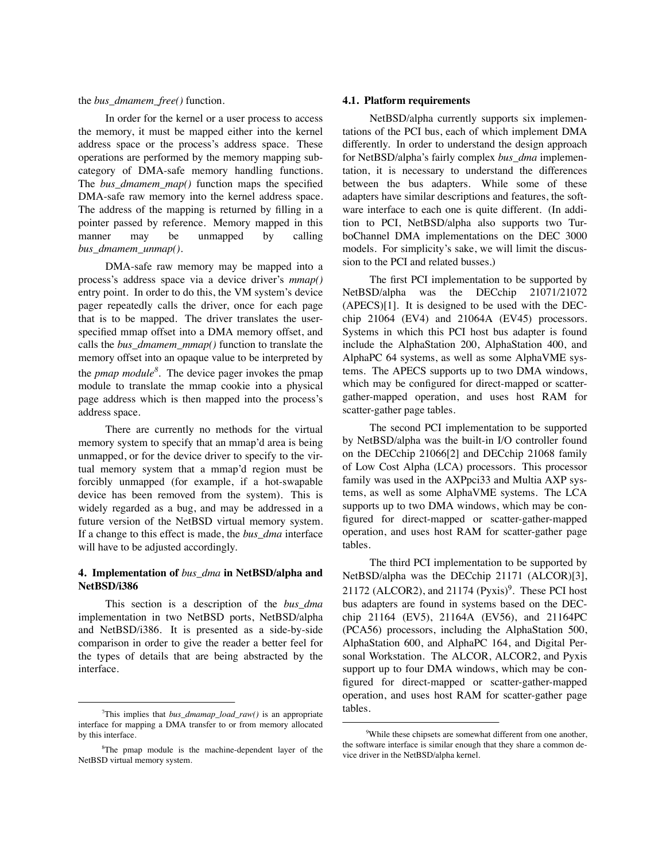## the *bus\_dmamem\_free()* function.

In order for the kernel or a user process to access the memory, it must be mapped either into the kernel address space or the process's address space. These operations are performed by the memory mapping subcategory of DMA-safe memory handling functions. The *bus\_dmamem\_map()* function maps the specified DMA-safe raw memory into the kernel address space. The address of the mapping is returned by filling in a pointer passed by reference. Memory mapped in this manner may be unmapped by calling *bus\_dmamem\_unmap()*.

DMA-safe raw memory may be mapped into a process's address space via a device driver's *mmap()* entry point. In order to do this, the VM system's device pager repeatedly calls the driver, once for each page that is to be mapped. The driver translates the userspecified mmap offset into a DMA memory offset, and calls the *bus\_dmamem\_mmap()* function to translate the memory offset into an opaque value to be interpreted by the *pmap module8* . The device pager invokes the pmap module to translate the mmap cookie into a physical page address which is then mapped into the process's address space.

There are currently no methods for the virtual memory system to specify that an mmap'd area is being unmapped, or for the device driver to specify to the virtual memory system that a mmap'd region must be forcibly unmapped (for example, if a hot-swapable device has been removed from the system). This is widely regarded as a bug, and may be addressed in a future version of the NetBSD virtual memory system. If a change to this effect is made, the *bus\_dma* interface will have to be adjusted accordingly.

## **4. Implementation of** *bus\_dma* **in NetBSD/alpha and NetBSD/i386**

This section is a description of the *bus\_dma* implementation in two NetBSD ports, NetBSD/alpha and NetBSD/i386. It is presented as a side-by-side comparison in order to give the reader a better feel for the types of details that are being abstracted by the interface.

#### **4.1. Platform requirements**

NetBSD/alpha currently supports six implementations of the PCI bus, each of which implement DMA differently. In order to understand the design approach for NetBSD/alpha's fairly complex *bus\_dma* implementation, it is necessary to understand the differences between the bus adapters. While some of these adapters have similar descriptions and features, the software interface to each one is quite different. (In addition to PCI, NetBSD/alpha also supports two TurboChannel DMA implementations on the DEC 3000 models. For simplicity's sake, we will limit the discussion to the PCI and related busses.)

The first PCI implementation to be supported by NetBSD/alpha was the DECchip 21071/21072 (APECS)[1]. It is designed to be used with the DECchip 21064 (EV4) and 21064A (EV45) processors. Systems in which this PCI host bus adapter is found include the AlphaStation 200, AlphaStation 400, and AlphaPC 64 systems, as well as some AlphaVME systems. The APECS supports up to two DMA windows, which may be configured for direct-mapped or scattergather-mapped operation, and uses host RAM for scatter-gather page tables.

The second PCI implementation to be supported by NetBSD/alpha was the built-in I/O controller found on the DECchip 21066[2] and DECchip 21068 family of Low Cost Alpha (LCA) processors. This processor family was used in the AXPpci33 and Multia AXP systems, as well as some AlphaVME systems. The LCA supports up to two DMA windows, which may be configured for direct-mapped or scatter-gather-mapped operation, and uses host RAM for scatter-gather page tables.

The third PCI implementation to be supported by NetBSD/alpha was the DECchip 21171 (ALCOR)[3],  $21172$  (ALCOR2), and  $21174$  (Pyxis)<sup>9</sup>. These PCI host bus adapters are found in systems based on the DECchip 21164 (EV5), 21164A (EV56), and 21164PC (PCA56) processors, including the AlphaStation 500, AlphaStation 600, and AlphaPC 164, and Digital Personal Workstation. The ALCOR, ALCOR2, and Pyxis support up to four DMA windows, which may be configured for direct-mapped or scatter-gather-mapped operation, and uses host RAM for scatter-gather page tables.

<sup>7</sup> This implies that *bus\_dmamap\_load\_raw()* is an appropriate interface for mapping a DMA transfer to or from memory allocated by this interface.

<sup>&</sup>lt;sup>8</sup>The pmap module is the machine-dependent layer of the NetBSD virtual memory system.

<sup>&</sup>lt;sup>9</sup>While these chipsets are somewhat different from one another, the software interface is similar enough that they share a common device driver in the NetBSD/alpha kernel.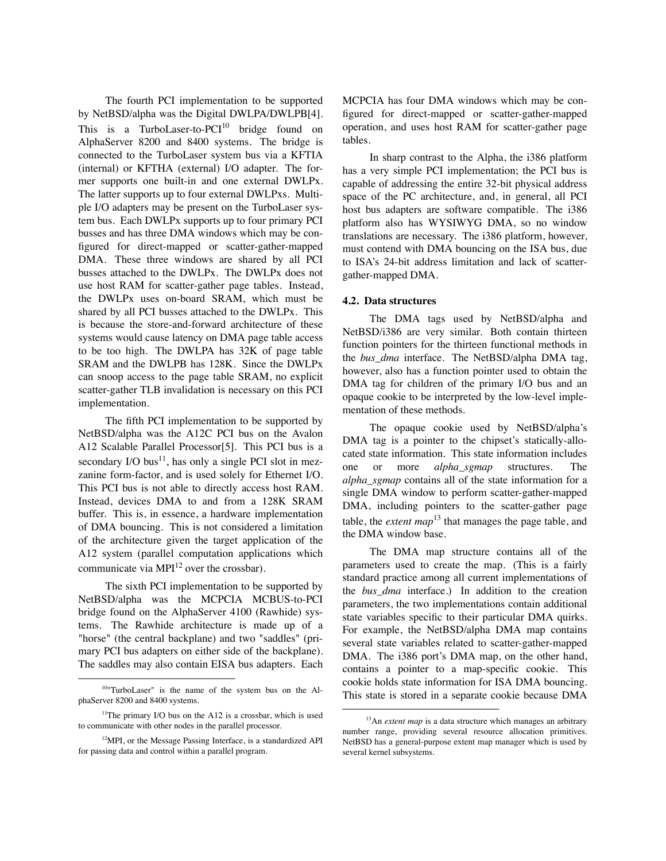The fourth PCI implementation to be supported by NetBSD/alpha was the Digital DWLPA/DWLPB[4]. This is a TurboLaser-to- $PCI^{10}$  bridge found on AlphaServer 8200 and 8400 systems. The bridge is connected to the TurboLaser system bus via a KFTIA (internal) or KFTHA (external) I/O adapter. The former supports one built-in and one external DWLPx. The latter supports up to four external DWLPxs. Multiple I/O adapters may be present on the TurboLaser system bus. Each DWLPx supports up to four primary PCI busses and has three DMA windows which may be configured for direct-mapped or scatter-gather-mapped DMA. These three windows are shared by all PCI busses attached to the DWLPx. The DWLPx does not use host RAM for scatter-gather page tables. Instead, the DWLPx uses on-board SRAM, which must be shared by all PCI busses attached to the DWLPx. This is because the store-and-forward architecture of these systems would cause latency on DMA page table access to be too high. The DWLPA has 32K of page table SRAM and the DWLPB has 128K. Since the DWLPx can snoop access to the page table SRAM, no explicit scatter-gather TLB invalidation is necessary on this PCI implementation.

The fifth PCI implementation to be supported by NetBSD/alpha was the A12C PCI bus on the Avalon A12 Scalable Parallel Processor[5]. This PCI bus is a secondary I/O bus<sup>11</sup>, has only a single PCI slot in mezzanine form-factor, and is used solely for Ethernet I/O. This PCI bus is not able to directly access host RAM. Instead, devices DMA to and from a 128K SRAM buffer. This is, in essence, a hardware implementation of DMA bouncing. This is not considered a limitation of the architecture given the target application of the A12 system (parallel computation applications which communicate via MPI<sup>12</sup> over the crossbar).

The sixth PCI implementation to be supported by NetBSD/alpha was the MCPCIA MCBUS-to-PCI bridge found on the AlphaServer 4100 (Rawhide) systems. The Rawhide architecture is made up of a "horse" (the central backplane) and two "saddles" (primary PCI bus adapters on either side of the backplane). The saddles may also contain EISA bus adapters. Each MCPCIA has four DMA windows which may be configured for direct-mapped or scatter-gather-mapped operation, and uses host RAM for scatter-gather page tables.

In sharp contrast to the Alpha, the i386 platform has a very simple PCI implementation; the PCI bus is capable of addressing the entire 32-bit physical address space of the PC architecture, and, in general, all PCI host bus adapters are software compatible. The i386 platform also has WYSIWYG DMA, so no window translations are necessary. The i386 platform, however, must contend with DMA bouncing on the ISA bus, due to ISA's 24-bit address limitation and lack of scattergather-mapped DMA.

#### **4.2. Data structures**

The DMA tags used by NetBSD/alpha and NetBSD/i386 are very similar. Both contain thirteen function pointers for the thirteen functional methods in the *bus\_dma* interface. The NetBSD/alpha DMA tag, however, also has a function pointer used to obtain the DMA tag for children of the primary I/O bus and an opaque cookie to be interpreted by the low-level implementation of these methods.

The opaque cookie used by NetBSD/alpha's DMA tag is a pointer to the chipset's statically-allocated state information. This state information includes one or more *alpha\_sgmap* structures. The *alpha\_sgmap* contains all of the state information for a single DMA window to perform scatter-gather-mapped DMA, including pointers to the scatter-gather page table, the *extent map*<sup>13</sup> that manages the page table, and the DMA window base.

The DMA map structure contains all of the parameters used to create the map. (This is a fairly standard practice among all current implementations of the *bus\_dma* interface.) In addition to the creation parameters, the two implementations contain additional state variables specific to their particular DMA quirks. For example, the NetBSD/alpha DMA map contains several state variables related to scatter-gather-mapped DMA. The i386 port's DMA map, on the other hand, contains a pointer to a map-specific cookie. This cookie holds state information for ISA DMA bouncing. This state is stored in a separate cookie because DMA

<sup>10&</sup>quot;TurboLaser" is the name of the system bus on the AlphaServer 8200 and 8400 systems.

<sup>&</sup>lt;sup>11</sup>The primary I/O bus on the A12 is a crossbar, which is used to communicate with other nodes in the parallel processor.

<sup>&</sup>lt;sup>12</sup>MPI, or the Message Passing Interface, is a standardized API for passing data and control within a parallel program.

<sup>&</sup>lt;sup>13</sup>An *extent map* is a data structure which manages an arbitrary number range, providing several resource allocation primitives. NetBSD has a general-purpose extent map manager which is used by several kernel subsystems.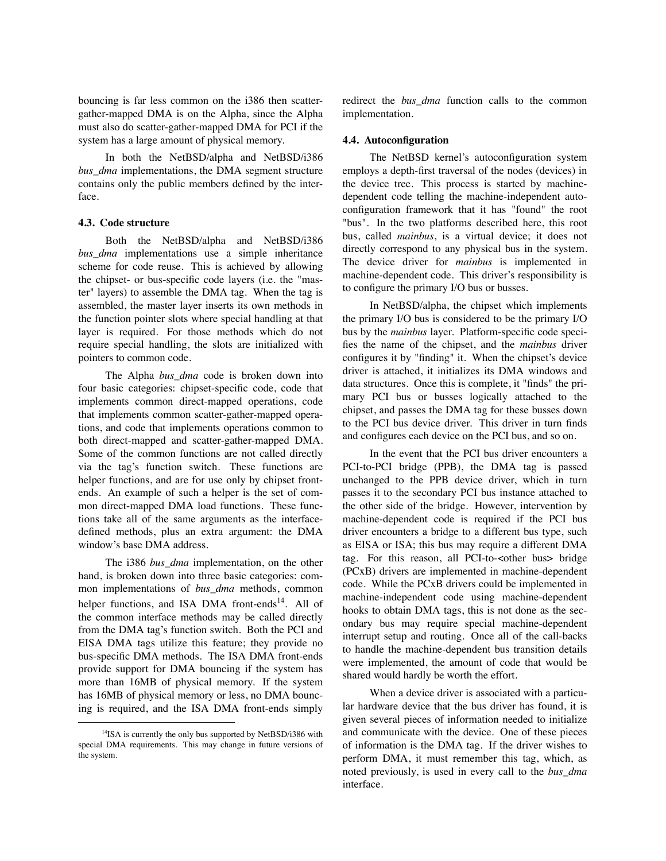bouncing is far less common on the i386 then scattergather-mapped DMA is on the Alpha, since the Alpha must also do scatter-gather-mapped DMA for PCI if the system has a large amount of physical memory.

In both the NetBSD/alpha and NetBSD/i386 *bus\_dma* implementations, the DMA segment structure contains only the public members defined by the interface.

## **4.3. Code structure**

Both the NetBSD/alpha and NetBSD/i386 *bus\_dma* implementations use a simple inheritance scheme for code reuse. This is achieved by allowing the chipset- or bus-specific code layers (i.e. the "master" layers) to assemble the DMA tag. When the tag is assembled, the master layer inserts its own methods in the function pointer slots where special handling at that layer is required. For those methods which do not require special handling, the slots are initialized with pointers to common code.

The Alpha *bus\_dma* code is broken down into four basic categories: chipset-specific code, code that implements common direct-mapped operations, code that implements common scatter-gather-mapped operations, and code that implements operations common to both direct-mapped and scatter-gather-mapped DMA. Some of the common functions are not called directly via the tag's function switch. These functions are helper functions, and are for use only by chipset frontends. An example of such a helper is the set of common direct-mapped DMA load functions. These functions take all of the same arguments as the interfacedefined methods, plus an extra argument: the DMA window's base DMA address.

The i386 *bus\_dma* implementation, on the other hand, is broken down into three basic categories: common implementations of *bus\_dma* methods, common helper functions, and ISA DMA front-ends<sup>14</sup>. All of the common interface methods may be called directly from the DMA tag's function switch. Both the PCI and EISA DMA tags utilize this feature; they provide no bus-specific DMA methods. The ISA DMA front-ends provide support for DMA bouncing if the system has more than 16MB of physical memory. If the system has 16MB of physical memory or less, no DMA bouncing is required, and the ISA DMA front-ends simply redirect the *bus\_dma* function calls to the common implementation.

#### **4.4. Autoconfiguration**

The NetBSD kernel's autoconfiguration system employs a depth-first traversal of the nodes (devices) in the device tree. This process is started by machinedependent code telling the machine-independent autoconfiguration framework that it has "found" the root "bus". In the two platforms described here, this root bus, called *mainbus*, is a virtual device; it does not directly correspond to any physical bus in the system. The device driver for *mainbus* is implemented in machine-dependent code. This driver's responsibility is to configure the primary I/O bus or busses.

In NetBSD/alpha, the chipset which implements the primary I/O bus is considered to be the primary I/O bus by the *mainbus* layer. Platform-specific code specifies the name of the chipset, and the *mainbus* driver configures it by "finding" it. When the chipset's device driver is attached, it initializes its DMA windows and data structures. Once this is complete, it "finds" the primary PCI bus or busses logically attached to the chipset, and passes the DMA tag for these busses down to the PCI bus device driver. This driver in turn finds and configures each device on the PCI bus, and so on.

In the event that the PCI bus driver encounters a PCI-to-PCI bridge (PPB), the DMA tag is passed unchanged to the PPB device driver, which in turn passes it to the secondary PCI bus instance attached to the other side of the bridge. However, intervention by machine-dependent code is required if the PCI bus driver encounters a bridge to a different bus type, such as EISA or ISA; this bus may require a different DMA tag. For this reason, all PCI-to-<other bus> bridge (PCxB) drivers are implemented in machine-dependent code. While the PCxB drivers could be implemented in machine-independent code using machine-dependent hooks to obtain DMA tags, this is not done as the secondary bus may require special machine-dependent interrupt setup and routing. Once all of the call-backs to handle the machine-dependent bus transition details were implemented, the amount of code that would be shared would hardly be worth the effort.

When a device driver is associated with a particular hardware device that the bus driver has found, it is given several pieces of information needed to initialize and communicate with the device. One of these pieces of information is the DMA tag. If the driver wishes to perform DMA, it must remember this tag, which, as noted previously, is used in every call to the *bus\_dma* interface.

<sup>&</sup>lt;sup>14</sup>ISA is currently the only bus supported by NetBSD/i386 with special DMA requirements. This may change in future versions of the system.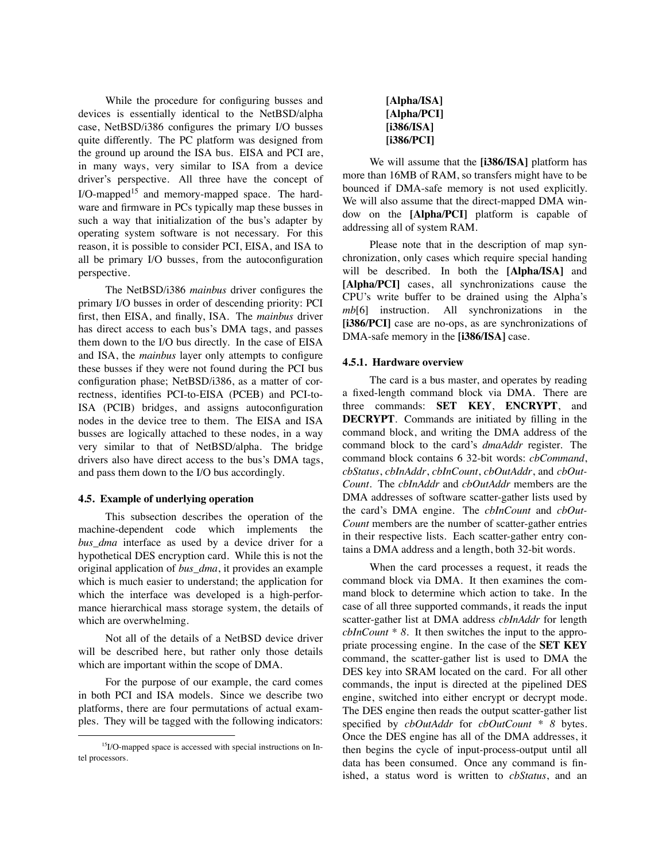While the procedure for configuring busses and devices is essentially identical to the NetBSD/alpha case, NetBSD/i386 configures the primary I/O busses quite differently. The PC platform was designed from the ground up around the ISA bus. EISA and PCI are, in many ways, very similar to ISA from a device driver's perspective. All three have the concept of  $I/O$ -mapped<sup>15</sup> and memory-mapped space. The hardware and firmware in PCs typically map these busses in such a way that initialization of the bus's adapter by operating system software is not necessary. For this reason, it is possible to consider PCI, EISA, and ISA to all be primary I/O busses, from the autoconfiguration perspective.

The NetBSD/i386 *mainbus* driver configures the primary I/O busses in order of descending priority: PCI first, then EISA, and finally, ISA. The *mainbus* driver has direct access to each bus's DMA tags, and passes them down to the I/O bus directly. In the case of EISA and ISA, the *mainbus* layer only attempts to configure these busses if they were not found during the PCI bus configuration phase; NetBSD/i386, as a matter of correctness, identifies PCI-to-EISA (PCEB) and PCI-to-ISA (PCIB) bridges, and assigns autoconfiguration nodes in the device tree to them. The EISA and ISA busses are logically attached to these nodes, in a way very similar to that of NetBSD/alpha. The bridge drivers also have direct access to the bus's DMA tags, and pass them down to the I/O bus accordingly.

#### **4.5. Example of underlying operation**

This subsection describes the operation of the machine-dependent code which implements the *bus\_dma* interface as used by a device driver for a hypothetical DES encryption card. While this is not the original application of *bus\_dma*, it provides an example which is much easier to understand; the application for which the interface was developed is a high-performance hierarchical mass storage system, the details of which are overwhelming.

Not all of the details of a NetBSD device driver will be described here, but rather only those details which are important within the scope of DMA.

For the purpose of our example, the card comes in both PCI and ISA models. Since we describe two platforms, there are four permutations of actual examples. They will be tagged with the following indicators:

| Alpha/ISA]  |
|-------------|
| [Alpha/PCI] |
| [i386/ISA]  |
| [i386/PCI]  |

We will assume that the **[i386/ISA]** platform has more than 16MB of RAM, so transfers might have to be bounced if DMA-safe memory is not used explicitly. We will also assume that the direct-mapped DMA window on the **[Alpha/PCI]** platform is capable of addressing all of system RAM.

Please note that in the description of map synchronization, only cases which require special handing will be described. In both the **[Alpha/ISA]** and **[Alpha/PCI]** cases, all synchronizations cause the CPU's write buffer to be drained using the Alpha's *mb*[6] instruction. All synchronizations in the [i386/PCI] case are no-ops, as are synchronizations of DMA-safe memory in the **[i386/ISA]** case.

#### **4.5.1. Hardware overview**

The card is a bus master, and operates by reading a fixed-length command block via DMA. There are three commands: **SET KEY**, **ENCRYPT**, and **DECRYPT**. Commands are initiated by filling in the command block, and writing the DMA address of the command block to the card's *dmaAddr* register. The command block contains 6 32-bit words: *cbCommand*, *cbStatus*, *cbInAddr*, *cbInCount*, *cbOutAddr*, and *cbOut-Count*. The *cbInAddr* and *cbOutAddr* members are the DMA addresses of software scatter-gather lists used by the card's DMA engine. The *cbInCount* and *cbOut-Count* members are the number of scatter-gather entries in their respective lists. Each scatter-gather entry contains a DMA address and a length, both 32-bit words.

When the card processes a request, it reads the command block via DMA. It then examines the command block to determine which action to take. In the case of all three supported commands, it reads the input scatter-gather list at DMA address *cbInAddr* for length *cbInCount \* 8*. It then switches the input to the appropriate processing engine. In the case of the **SET KEY** command, the scatter-gather list is used to DMA the DES key into SRAM located on the card. For all other commands, the input is directed at the pipelined DES engine, switched into either encrypt or decrypt mode. The DES engine then reads the output scatter-gather list specified by *cbOutAddr* for *cbOutCount \* 8* bytes. Once the DES engine has all of the DMA addresses, it then begins the cycle of input-process-output until all data has been consumed. Once any command is finished, a status word is written to *cbStatus*, and an

<sup>&</sup>lt;sup>15</sup>I/O-mapped space is accessed with special instructions on Intel processors.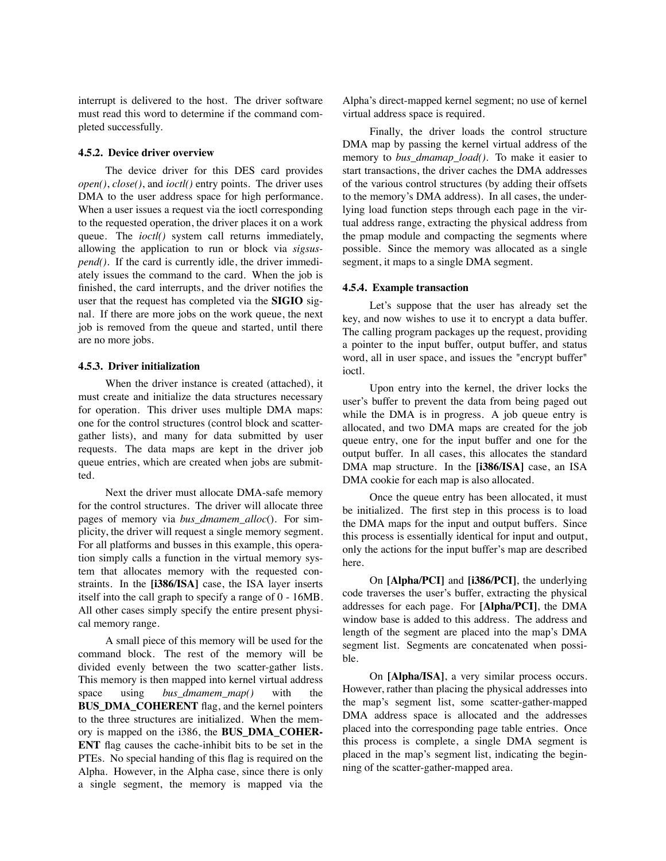interrupt is delivered to the host. The driver software must read this word to determine if the command completed successfully.

## **4.5.2. Device driver overview**

The device driver for this DES card provides *open()*, *close()*, and *ioctl()* entry points. The driver uses DMA to the user address space for high performance. When a user issues a request via the ioctl corresponding to the requested operation, the driver places it on a work queue. The *ioctl()* system call returns immediately, allowing the application to run or block via *sigsuspend()*. If the card is currently idle, the driver immediately issues the command to the card. When the job is finished, the card interrupts, and the driver notifies the user that the request has completed via the **SIGIO** signal. If there are more jobs on the work queue, the next job is removed from the queue and started, until there are no more jobs.

## **4.5.3. Driver initialization**

When the driver instance is created (attached), it must create and initialize the data structures necessary for operation. This driver uses multiple DMA maps: one for the control structures (control block and scattergather lists), and many for data submitted by user requests. The data maps are kept in the driver job queue entries, which are created when jobs are submitted.

Next the driver must allocate DMA-safe memory for the control structures. The driver will allocate three pages of memory via *bus\_dmamem\_alloc*(). For simplicity, the driver will request a single memory segment. For all platforms and busses in this example, this operation simply calls a function in the virtual memory system that allocates memory with the requested constraints. In the **[i386/ISA]** case, the ISA layer inserts itself into the call graph to specify a range of 0 - 16MB. All other cases simply specify the entire present physical memory range.

A small piece of this memory will be used for the command block. The rest of the memory will be divided evenly between the two scatter-gather lists. This memory is then mapped into kernel virtual address space using *bus\_dmamem\_map()* with the **BUS\_DMA\_COHERENT** flag, and the kernel pointers to the three structures are initialized. When the memory is mapped on the i386, the **BUS\_DMA\_COHER-ENT** flag causes the cache-inhibit bits to be set in the PTEs. No special handing of this flag is required on the Alpha. However, in the Alpha case, since there is only a single segment, the memory is mapped via the Alpha's direct-mapped kernel segment; no use of kernel virtual address space is required.

Finally, the driver loads the control structure DMA map by passing the kernel virtual address of the memory to *bus\_dmamap\_load()*. To make it easier to start transactions, the driver caches the DMA addresses of the various control structures (by adding their offsets to the memory's DMA address). In all cases, the underlying load function steps through each page in the virtual address range, extracting the physical address from the pmap module and compacting the segments where possible. Since the memory was allocated as a single segment, it maps to a single DMA segment.

## **4.5.4. Example transaction**

Let's suppose that the user has already set the key, and now wishes to use it to encrypt a data buffer. The calling program packages up the request, providing a pointer to the input buffer, output buffer, and status word, all in user space, and issues the "encrypt buffer" ioctl.

Upon entry into the kernel, the driver locks the user's buffer to prevent the data from being paged out while the DMA is in progress. A job queue entry is allocated, and two DMA maps are created for the job queue entry, one for the input buffer and one for the output buffer. In all cases, this allocates the standard DMA map structure. In the **[i386/ISA]** case, an ISA DMA cookie for each map is also allocated.

Once the queue entry has been allocated, it must be initialized. The first step in this process is to load the DMA maps for the input and output buffers. Since this process is essentially identical for input and output, only the actions for the input buffer's map are described here.

On **[Alpha/PCI]** and **[i386/PCI]**, the underlying code traverses the user's buffer, extracting the physical addresses for each page. For **[Alpha/PCI]**, the DMA window base is added to this address. The address and length of the segment are placed into the map's DMA segment list. Segments are concatenated when possible.

On **[Alpha/ISA]**, a very similar process occurs. However, rather than placing the physical addresses into the map's segment list, some scatter-gather-mapped DMA address space is allocated and the addresses placed into the corresponding page table entries. Once this process is complete, a single DMA segment is placed in the map's segment list, indicating the beginning of the scatter-gather-mapped area.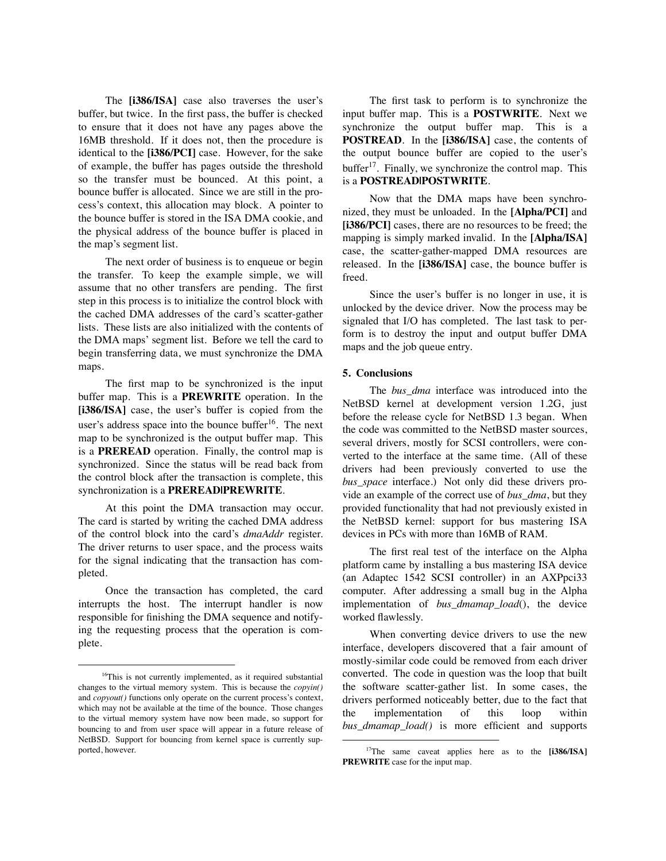The **[i386/ISA]** case also traverses the user's buffer, but twice. In the first pass, the buffer is checked to ensure that it does not have any pages above the 16MB threshold. If it does not, then the procedure is identical to the **[i386/PCI]** case. However, for the sake of example, the buffer has pages outside the threshold so the transfer must be bounced. At this point, a bounce buffer is allocated. Since we are still in the process's context, this allocation may block. A pointer to the bounce buffer is stored in the ISA DMA cookie, and the physical address of the bounce buffer is placed in the map's segment list.

The next order of business is to enqueue or begin the transfer. To keep the example simple, we will assume that no other transfers are pending. The first step in this process is to initialize the control block with the cached DMA addresses of the card's scatter-gather lists. These lists are also initialized with the contents of the DMA maps' segment list. Before we tell the card to begin transferring data, we must synchronize the DMA maps.

The first map to be synchronized is the input buffer map. This is a **PREWRITE** operation. In the **[i386/ISA]** case, the user's buffer is copied from the user's address space into the bounce buffer<sup>16</sup>. The next map to be synchronized is the output buffer map. This is a **PREREAD** operation. Finally, the control map is synchronized. Since the status will be read back from the control block after the transaction is complete, this synchronization is a **PREREAD|PREWRITE**.

At this point the DMA transaction may occur. The card is started by writing the cached DMA address of the control block into the card's *dmaAddr* register. The driver returns to user space, and the process waits for the signal indicating that the transaction has completed.

Once the transaction has completed, the card interrupts the host. The interrupt handler is now responsible for finishing the DMA sequence and notifying the requesting process that the operation is complete.

The first task to perform is to synchronize the input buffer map. This is a **POSTWRITE**. Next we synchronize the output buffer map. This is a **POSTREAD**. In the **[i386/ISA]** case, the contents of the output bounce buffer are copied to the user's buffer<sup>17</sup>. Finally, we synchronize the control map. This is a **POSTREAD|POSTWRITE**.

Now that the DMA maps have been synchronized, they must be unloaded. In the **[Alpha/PCI]** and **[i386/PCI]** cases, there are no resources to be freed; the mapping is simply marked invalid. In the **[Alpha/ISA]** case, the scatter-gather-mapped DMA resources are released. In the **[i386/ISA]** case, the bounce buffer is freed.

Since the user's buffer is no longer in use, it is unlocked by the device driver. Now the process may be signaled that I/O has completed. The last task to perform is to destroy the input and output buffer DMA maps and the job queue entry.

#### **5. Conclusions**

The *bus dma* interface was introduced into the NetBSD kernel at development version 1.2G, just before the release cycle for NetBSD 1.3 began. When the code was committed to the NetBSD master sources, several drivers, mostly for SCSI controllers, were converted to the interface at the same time. (All of these drivers had been previously converted to use the *bus space* interface.) Not only did these drivers provide an example of the correct use of *bus\_dma*, but they provided functionality that had not previously existed in the NetBSD kernel: support for bus mastering ISA devices in PCs with more than 16MB of RAM.

The first real test of the interface on the Alpha platform came by installing a bus mastering ISA device (an Adaptec 1542 SCSI controller) in an AXPpci33 computer. After addressing a small bug in the Alpha implementation of *bus\_dmamap\_load*(), the device worked flawlessly.

When converting device drivers to use the new interface, developers discovered that a fair amount of mostly-similar code could be removed from each driver converted. The code in question was the loop that built the software scatter-gather list. In some cases, the drivers performed noticeably better, due to the fact that the implementation of this loop within *bus\_dmamap\_load()* is more efficient and supports

<sup>&</sup>lt;sup>16</sup>This is not currently implemented, as it required substantial changes to the virtual memory system. This is because the *copyin()* and *copyout()* functions only operate on the current process's context, which may not be available at the time of the bounce. Those changes to the virtual memory system have now been made, so support for bouncing to and from user space will appear in a future release of NetBSD. Support for bouncing from kernel space is currently supported, however.

<sup>17</sup>The same caveat applies here as to the **[i386/ISA] PREWRITE** case for the input map.